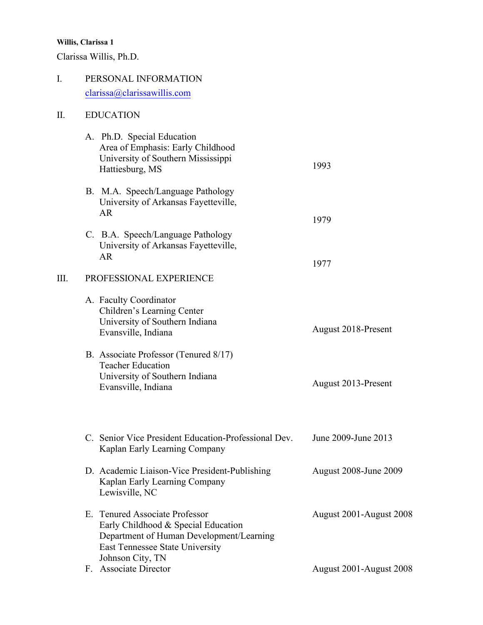Clarissa Willis, Ph.D.

# I. PERSONAL INFORMATION clarissa@clarissawillis.com

## II. [EDUCATION](mailto:clarissa@clarissawillis.com)

|    | A. Ph.D. Special Education<br>Area of Emphasis: Early Childhood<br>University of Southern Mississippi<br>Hattiesburg, MS                                                 | 1993                    |
|----|--------------------------------------------------------------------------------------------------------------------------------------------------------------------------|-------------------------|
|    | B. M.A. Speech/Language Pathology<br>University of Arkansas Fayetteville,<br><b>AR</b>                                                                                   | 1979                    |
|    | C. B.A. Speech/Language Pathology<br>University of Arkansas Fayetteville,<br><b>AR</b>                                                                                   | 1977                    |
| Ш. | PROFESSIONAL EXPERIENCE                                                                                                                                                  |                         |
|    | A. Faculty Coordinator<br>Children's Learning Center<br>University of Southern Indiana<br>Evansville, Indiana                                                            | August 2018-Present     |
|    | B. Associate Professor (Tenured 8/17)<br><b>Teacher Education</b><br>University of Southern Indiana<br>Evansville, Indiana                                               | August 2013-Present     |
|    | C. Senior Vice President Education-Professional Dev.<br>Kaplan Early Learning Company                                                                                    | June 2009-June 2013     |
|    | D. Academic Liaison-Vice President-Publishing<br>Kaplan Early Learning Company<br>Lewisville, NC                                                                         | August 2008-June 2009   |
|    | E. Tenured Associate Professor<br>Early Childhood & Special Education<br>Department of Human Development/Learning<br>East Tennessee State University<br>Johnson City, TN | August 2001-August 2008 |

F. Associate Director August 2001-August 2008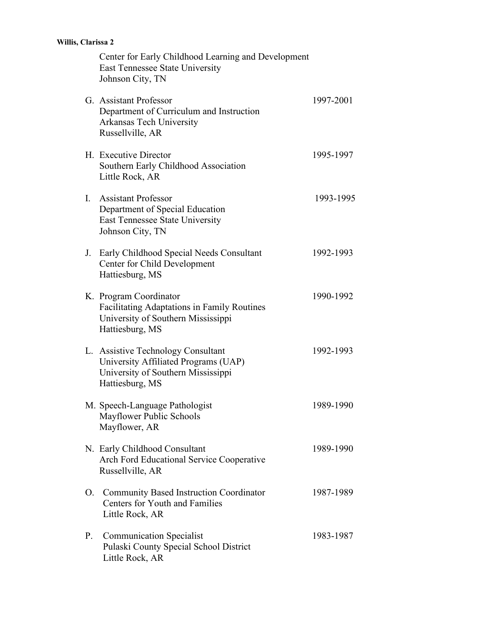|                | Center for Early Childhood Learning and Development<br>East Tennessee State University<br>Johnson City, TN                            |           |
|----------------|---------------------------------------------------------------------------------------------------------------------------------------|-----------|
|                | G. Assistant Professor<br>Department of Curriculum and Instruction<br>Arkansas Tech University<br>Russellville, AR                    | 1997-2001 |
|                | H. Executive Director<br>Southern Early Childhood Association<br>Little Rock, AR                                                      | 1995-1997 |
| $\mathbf{I}$ . | <b>Assistant Professor</b><br>Department of Special Education<br><b>East Tennessee State University</b><br>Johnson City, TN           | 1993-1995 |
|                | J. Early Childhood Special Needs Consultant<br>Center for Child Development<br>Hattiesburg, MS                                        | 1992-1993 |
|                | K. Program Coordinator<br><b>Facilitating Adaptations in Family Routines</b><br>University of Southern Mississippi<br>Hattiesburg, MS | 1990-1992 |
|                | L. Assistive Technology Consultant<br>University Affiliated Programs (UAP)<br>University of Southern Mississippi<br>Hattiesburg, MS   | 1992-1993 |
|                | M. Speech-Language Pathologist<br>Mayflower Public Schools<br>Mayflower, AR                                                           | 1989-1990 |
|                | N. Early Childhood Consultant<br>Arch Ford Educational Service Cooperative<br>Russellville, AR                                        | 1989-1990 |
|                | O. Community Based Instruction Coordinator<br><b>Centers for Youth and Families</b><br>Little Rock, AR                                | 1987-1989 |
| P.             | <b>Communication Specialist</b><br>Pulaski County Special School District<br>Little Rock, AR                                          | 1983-1987 |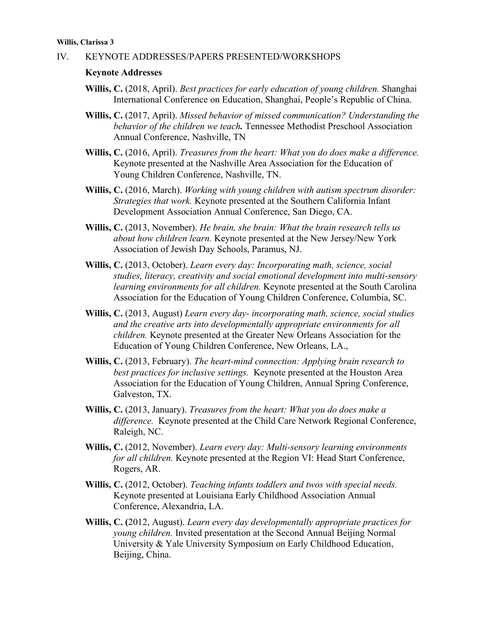#### IV. KEYNOTE ADDRESSES/PAPERS PRESENTED/WORKSHOPS

#### **Keynote Addresses**

- **Willis, C.** (2018, April). *Best practices for early education of young children.* Shanghai International Conference on Education, Shanghai, People's Republic of China.
- **Willis, C.** (2017, April). *Missed behavior of missed communication? Understanding the behavior of the children we teach.* Tennessee Methodist Preschool Association Annual Conference, Nashville, TN
- **Willis, C.** (2016, April). *Treasures from the heart: What you do does make a difference.*  Keynote presented at the Nashville Area Association for the Education of Young Children Conference, Nashville, TN.
- **Willis, C.** (2016, March). *Working with young children with autism spectrum disorder: Strategies that work.* Keynote presented at the Southern California Infant Development Association Annual Conference, San Diego, CA.
- **Willis, C.** (2013, November). *He brain, she brain: What the brain research tells us about how children learn.* Keynote presented at the New Jersey/New York Association of Jewish Day Schools, Paramus, NJ.
- **Willis, C.** (2013, October). *Learn every day: Incorporating math, science, social studies, literacy, creativity and social emotional development into multi-sensory learning environments for all children.* Keynote presented at the South Carolina Association for the Education of Young Children Conference, Columbia, SC.
- **Willis, C.** (2013, August) *Learn every day- incorporating math, science, social studies and the creative arts into developmentally appropriate environments for all children.* Keynote presented at the Greater New Orleans Association for the Education of Young Children Conference, New Orleans, LA.,
- **Willis, C.** (2013, February). *The heart-mind connection: Applying brain research to best practices for inclusive settings.* Keynote presented at the Houston Area Association for the Education of Young Children, Annual Spring Conference, Galveston, TX.
- **Willis, C.** (2013, January). *Treasures from the heart: What you do does make a difference.* Keynote presented at the Child Care Network Regional Conference, Raleigh, NC.
- **Willis, C.** (2012, November). *Learn every day: Multi-sensory learning environments for all children.* Keynote presented at the Region VI: Head Start Conference, Rogers, AR.
- **Willis, C.** (2012, October). *Teaching infants toddlers and twos with special needs.*  Keynote presented at Louisiana Early Childhood Association Annual Conference, Alexandria, LA.
- **Willis, C. (**2012, August). *Learn every day developmentally appropriate practices for young children.* Invited presentation at the Second Annual Beijing Normal University & Yale University Symposium on Early Childhood Education, Beijing, China.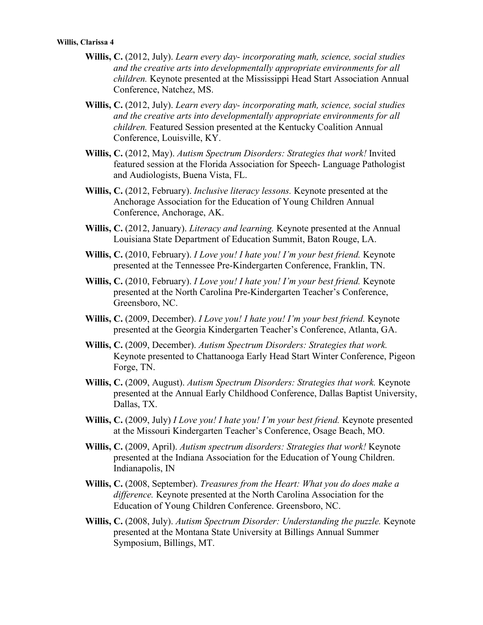- **Willis, C.** (2012, July). *Learn every day- incorporating math, science, social studies and the creative arts into developmentally appropriate environments for all children.* Keynote presented at the Mississippi Head Start Association Annual Conference, Natchez, MS.
- **Willis, C.** (2012, July). *Learn every day- incorporating math, science, social studies and the creative arts into developmentally appropriate environments for all children.* Featured Session presented at the Kentucky Coalition Annual Conference, Louisville, KY.
- **Willis, C.** (2012, May). *Autism Spectrum Disorders: Strategies that work!* Invited featured session at the Florida Association for Speech- Language Pathologist and Audiologists, Buena Vista, FL.
- **Willis, C.** (2012, February). *Inclusive literacy lessons.* Keynote presented at the Anchorage Association for the Education of Young Children Annual Conference, Anchorage, AK.
- **Willis, C.** (2012, January). *Literacy and learning.* Keynote presented at the Annual Louisiana State Department of Education Summit, Baton Rouge, LA.
- **Willis, C.** (2010, February). *I Love you! I hate you! I'm your best friend.* Keynote presented at the Tennessee Pre-Kindergarten Conference, Franklin, TN.
- **Willis, C.** (2010, February). *I Love you! I hate you! I'm your best friend.* Keynote presented at the North Carolina Pre-Kindergarten Teacher's Conference, Greensboro, NC.
- **Willis, C.** (2009, December). *I Love you! I hate you! I'm your best friend.* Keynote presented at the Georgia Kindergarten Teacher's Conference, Atlanta, GA.
- **Willis, C.** (2009, December). *Autism Spectrum Disorders: Strategies that work.*  Keynote presented to Chattanooga Early Head Start Winter Conference, Pigeon Forge, TN.
- **Willis, C.** (2009, August). *Autism Spectrum Disorders: Strategies that work.* Keynote presented at the Annual Early Childhood Conference, Dallas Baptist University, Dallas, TX.
- **Willis, C.** (2009, July) *I Love you! I hate you! I'm your best friend.* Keynote presented at the Missouri Kindergarten Teacher's Conference, Osage Beach, MO.
- **Willis, C.** (2009, April). *Autism spectrum disorders: Strategies that work!* Keynote presented at the Indiana Association for the Education of Young Children. Indianapolis, IN
- **Willis, C.** (2008, September). *Treasures from the Heart: What you do does make a difference.* Keynote presented at the North Carolina Association for the Education of Young Children Conference. Greensboro, NC.
- **Willis, C.** (2008, July). *Autism Spectrum Disorder: Understanding the puzzle.* Keynote presented at the Montana State University at Billings Annual Summer Symposium, Billings, MT.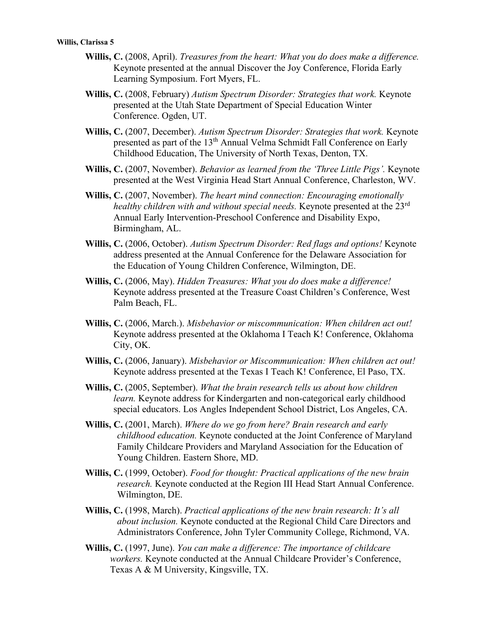- **Willis, C.** (2008, April). *Treasures from the heart: What you do does make a difference.*  Keynote presented at the annual Discover the Joy Conference, Florida Early Learning Symposium. Fort Myers, FL.
- **Willis, C.** (2008, February) *Autism Spectrum Disorder: Strategies that work.* Keynote presented at the Utah State Department of Special Education Winter Conference. Ogden, UT.
- **Willis, C.** (2007, December). *Autism Spectrum Disorder: Strategies that work.* Keynote presented as part of the 13<sup>th</sup> Annual Velma Schmidt Fall Conference on Early Childhood Education, The University of North Texas, Denton, TX.
- **Willis, C.** (2007, November). *Behavior as learned from the 'Three Little Pigs'.* Keynote presented at the West Virginia Head Start Annual Conference, Charleston, WV.
- **Willis, C.** (2007, November). *The heart mind connection: Encouraging emotionally healthy children with and without special needs.* Keynote presented at the 23rd Annual Early Intervention-Preschool Conference and Disability Expo, Birmingham, AL.
- **Willis, C.** (2006, October). *Autism Spectrum Disorder: Red flags and options!* Keynote address presented at the Annual Conference for the Delaware Association for the Education of Young Children Conference, Wilmington, DE.
- **Willis, C.** (2006, May). *Hidden Treasures: What you do does make a difference!* Keynote address presented at the Treasure Coast Children's Conference, West Palm Beach, FL.
- **Willis, C.** (2006, March.). *Misbehavior or miscommunication: When children act out!* Keynote address presented at the Oklahoma I Teach K! Conference, Oklahoma City, OK.
- **Willis, C.** (2006, January). *Misbehavior or Miscommunication: When children act out!* Keynote address presented at the Texas I Teach K! Conference, El Paso, TX.
- **Willis, C.** (2005, September). *What the brain research tells us about how children learn.* Keynote address for Kindergarten and non-categorical early childhood special educators. Los Angles Independent School District, Los Angeles, CA.
- **Willis, C.** (2001, March). *Where do we go from here? Brain research and early childhood education.* Keynote conducted at the Joint Conference of Maryland Family Childcare Providers and Maryland Association for the Education of Young Children. Eastern Shore, MD.
- **Willis, C.** (1999, October). *Food for thought: Practical applications of the new brain research.* Keynote conducted at the Region III Head Start Annual Conference. Wilmington, DE.
- **Willis, C.** (1998, March). *Practical applications of the new brain research: It's all about inclusion.* Keynote conducted at the Regional Child Care Directors and Administrators Conference, John Tyler Community College, Richmond, VA.
- **Willis, C.** (1997, June). *You can make a difference: The importance of childcare workers.* Keynote conducted at the Annual Childcare Provider's Conference, Texas A & M University, Kingsville, TX.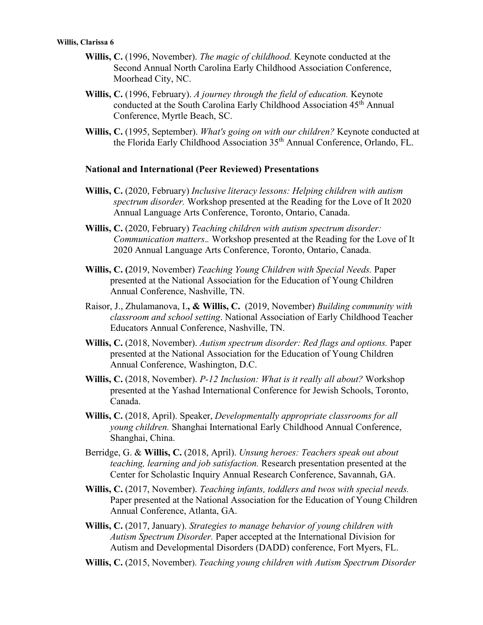- **Willis, C.** (1996, November). *The magic of childhood.* Keynote conducted at the Second Annual North Carolina Early Childhood Association Conference, Moorhead City, NC.
- **Willis, C.** (1996, February). *A journey through the field of education.* Keynote conducted at the South Carolina Early Childhood Association 45th Annual Conference, Myrtle Beach, SC.
- **Willis, C.** (1995, September). *What's going on with our children?* Keynote conducted at the Florida Early Childhood Association 35th Annual Conference, Orlando, FL.

#### **National and International (Peer Reviewed) Presentations**

- **Willis, C.** (2020, February) *Inclusive literacy lessons: Helping children with autism spectrum disorder.* Workshop presented at the Reading for the Love of It 2020 Annual Language Arts Conference, Toronto, Ontario, Canada.
- **Willis, C.** (2020, February) *Teaching children with autism spectrum disorder: Communication matters*.*.* Workshop presented at the Reading for the Love of It 2020 Annual Language Arts Conference, Toronto, Ontario, Canada.
- **Willis, C. (**2019, November) *Teaching Young Children with Special Needs.* Paper presented at the National Association for the Education of Young Children Annual Conference, Nashville, TN.
- Raisor, J., Zhulamanova, I.**, & Willis, C.** (2019, November) *Building community with classroom and school setting*. National Association of Early Childhood Teacher Educators Annual Conference, Nashville, TN.
- **Willis, C.** (2018, November). *Autism spectrum disorder: Red flags and options.* Paper presented at the National Association for the Education of Young Children Annual Conference, Washington, D.C.
- **Willis, C.** (2018, November). *P-12 Inclusion: What is it really all about?* Workshop presented at the Yashad International Conference for Jewish Schools, Toronto, Canada.
- **Willis, C.** (2018, April). Speaker, *Developmentally appropriate classrooms for all young children.* Shanghai International Early Childhood Annual Conference, Shanghai, China.
- Berridge, G. & **Willis, C.** (2018, April). *Unsung heroes: Teachers speak out about teaching, learning and job satisfaction.* Research presentation presented at the Center for Scholastic Inquiry Annual Research Conference, Savannah, GA.
- **Willis, C.** (2017, November). *Teaching infants, toddlers and twos with special needs.*  Paper presented at the National Association for the Education of Young Children Annual Conference, Atlanta, GA.
- **Willis, C.** (2017, January). *Strategies to manage behavior of young children with Autism Spectrum Disorder.* Paper accepted at the International Division for Autism and Developmental Disorders (DADD) conference, Fort Myers, FL.
- **Willis, C.** (2015, November). *Teaching young children with Autism Spectrum Disorder*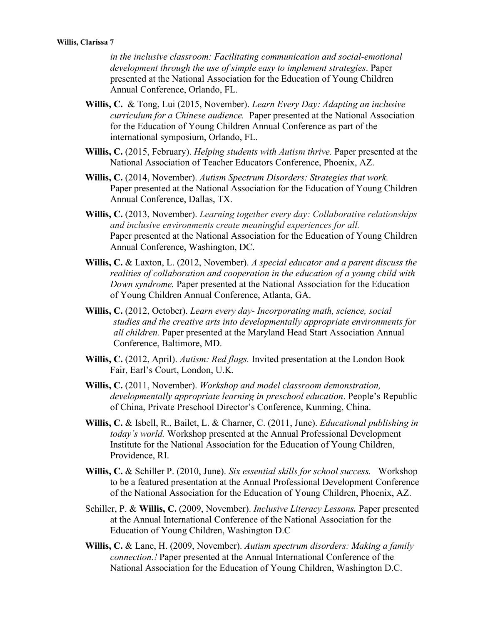*in the inclusive classroom: Facilitating communication and social-emotional development through the use of simple easy to implement strategies*. Paper presented at the National Association for the Education of Young Children Annual Conference, Orlando, FL.

- **Willis, C.** & Tong, Lui (2015, November). *Learn Every Day: Adapting an inclusive curriculum for a Chinese audience.* Paper presented at the National Association for the Education of Young Children Annual Conference as part of the international symposium, Orlando, FL.
- **Willis, C.** (2015, February). *Helping students with Autism thrive.* Paper presented at the National Association of Teacher Educators Conference, Phoenix, AZ.
- **Willis, C.** (2014, November). *Autism Spectrum Disorders: Strategies that work.* Paper presented at the National Association for the Education of Young Children Annual Conference, Dallas, TX.
- **Willis, C.** (2013, November). *Learning together every day: Collaborative relationships and inclusive environments create meaningful experiences for all.* Paper presented at the National Association for the Education of Young Children Annual Conference, Washington, DC.
- **Willis, C.** & Laxton, L. (2012, November). *A special educator and a parent discuss the realities of collaboration and cooperation in the education of a young child with Down syndrome.* Paper presented at the National Association for the Education of Young Children Annual Conference, Atlanta, GA.
- **Willis, C.** (2012, October). *Learn every day- Incorporating math, science, social studies and the creative arts into developmentally appropriate environments for all children.* Paper presented at the Maryland Head Start Association Annual Conference, Baltimore, MD.
- **Willis, C.** (2012, April). *Autism: Red flags.* Invited presentation at the London Book Fair, Earl's Court, London, U.K.
- **Willis, C.** (2011, November). *Workshop and model classroom demonstration, developmentally appropriate learning in preschool education*. People's Republic of China, Private Preschool Director's Conference, Kunming, China.
- **Willis, C.** & Isbell, R., Bailet, L. & Charner, C. (2011, June). *Educational publishing in today's world.* Workshop presented at the Annual Professional Development Institute for the National Association for the Education of Young Children, Providence, RI.
- **Willis, C.** & Schiller P. (2010, June). *Six essential skills for school success.* Workshop to be a featured presentation at the Annual Professional Development Conference of the National Association for the Education of Young Children, Phoenix, AZ.
- Schiller, P. & **Willis, C.** (2009, November). *Inclusive Literacy Lessons.* Paper presented at the Annual International Conference of the National Association for the Education of Young Children, Washington D.C
- **Willis, C.** & Lane, H. (2009, November). *Autism spectrum disorders: Making a family connection.!* Paper presented at the Annual International Conference of the National Association for the Education of Young Children, Washington D.C.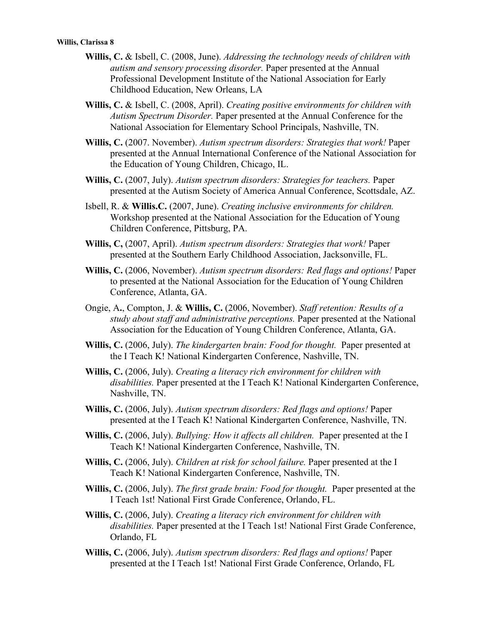- **Willis, C.** & Isbell, C. (2008, June). *Addressing the technology needs of children with autism and sensory processing disorder.* Paper presented at the Annual Professional Development Institute of the National Association for Early Childhood Education, New Orleans, LA
- **Willis, C.** & Isbell, C. (2008, April). *Creating positive environments for children with Autism Spectrum Disorder.* Paper presented at the Annual Conference for the National Association for Elementary School Principals, Nashville, TN.
- **Willis, C.** (2007. November). *Autism spectrum disorders: Strategies that work!* Paper presented at the Annual International Conference of the National Association for the Education of Young Children, Chicago, IL.
- **Willis, C.** (2007, July). *Autism spectrum disorders: Strategies for teachers.* Paper presented at the Autism Society of America Annual Conference, Scottsdale, AZ.
- Isbell, R. & **Willis.C.** (2007, June). *Creating inclusive environments for children.* Workshop presented at the National Association for the Education of Young Children Conference, Pittsburg, PA.
- **Willis, C,** (2007, April). *Autism spectrum disorders: Strategies that work!* Paper presented at the Southern Early Childhood Association, Jacksonville, FL.
- **Willis, C.** (2006, November). *Autism spectrum disorders: Red flags and options!* Paper to presented at the National Association for the Education of Young Children Conference, Atlanta, GA.
- Ongie, A**.**, Compton, J. & **Willis, C.** (2006, November). *Staff retention: Results of a study about staff and administrative perceptions.* Paper presented at the National Association for the Education of Young Children Conference, Atlanta, GA.
- **Willis, C.** (2006, July). *The kindergarten brain: Food for thought.* Paper presented at the I Teach K! National Kindergarten Conference, Nashville, TN.
- **Willis, C.** (2006, July). *Creating a literacy rich environment for children with disabilities.* Paper presented at the I Teach K! National Kindergarten Conference, Nashville, TN.
- **Willis, C.** (2006, July). *Autism spectrum disorders: Red flags and options!* Paper presented at the I Teach K! National Kindergarten Conference, Nashville, TN.
- **Willis, C.** (2006, July). *Bullying: How it affects all children.* Paper presented at the I Teach K! National Kindergarten Conference, Nashville, TN.
- **Willis, C.** (2006, July). *Children at risk for school failure.* Paper presented at the I Teach K! National Kindergarten Conference, Nashville, TN.
- **Willis, C.** (2006, July). *The first grade brain: Food for thought.* Paper presented at the I Teach 1st! National First Grade Conference, Orlando, FL.
- **Willis, C.** (2006, July). *Creating a literacy rich environment for children with disabilities.* Paper presented at the I Teach 1st! National First Grade Conference, Orlando, FL
- **Willis, C.** (2006, July). *Autism spectrum disorders: Red flags and options!* Paper presented at the I Teach 1st! National First Grade Conference, Orlando, FL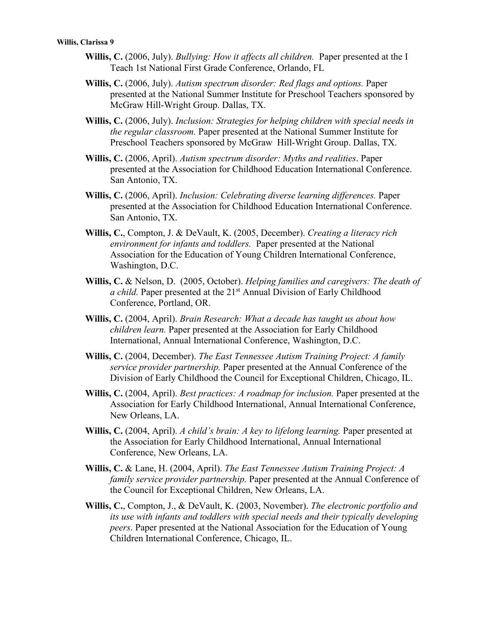- **Willis, C.** (2006, July). *Bullying: How it affects all children.* Paper presented at the I Teach 1st National First Grade Conference, Orlando, FL
- **Willis, C.** (2006, July). *Autism spectrum disorder: Red flags and options.* Paper presented at the National Summer Institute for Preschool Teachers sponsored by McGraw Hill-Wright Group. Dallas, TX.
- **Willis, C.** (2006, July). *Inclusion: Strategies for helping children with special needs in the regular classroom.* Paper presented at the National Summer Institute for Preschool Teachers sponsored by McGraw Hill-Wright Group. Dallas, TX.
- **Willis, C.** (2006, April). *Autism spectrum disorder: Myths and realities*. Paper presented at the Association for Childhood Education International Conference. San Antonio, TX.
- **Willis, C.** (2006, April). *Inclusion: Celebrating diverse learning differences.* Paper presented at the Association for Childhood Education International Conference. San Antonio, TX.
- **Willis, C.**, Compton, J. & DeVault, K. (2005, December). *Creating a literacy rich environment for infants and toddlers.* Paper presented at the National Association for the Education of Young Children International Conference, Washington, D.C.
- **Willis, C.** & Nelson, D. (2005, October). *Helping families and caregivers: The death of a child.* Paper presented at the 21<sup>st</sup> Annual Division of Early Childhood Conference, Portland, OR.
- **Willis, C.** (2004, April). *Brain Research: What a decade has taught us about how children learn.* Paper presented at the Association for Early Childhood International, Annual International Conference, Washington, D.C.
- **Willis, C.** (2004, December). *The East Tennessee Autism Training Project: A family service provider partnership.* Paper presented at the Annual Conference of the Division of Early Childhood the Council for Exceptional Children, Chicago, IL.
- **Willis, C.** (2004, April). *Best practices: A roadmap for inclusion.* Paper presented at the Association for Early Childhood International, Annual International Conference, New Orleans, LA.
- **Willis, C.** (2004, April). *A child's brain: A key to lifelong learning.* Paper presented at the Association for Early Childhood International, Annual International Conference, New Orleans, LA.
- **Willis, C.** & Lane, H. (2004, April). *The East Tennessee Autism Training Project: A family service provider partnership.* Paper presented at the Annual Conference of the Council for Exceptional Children, New Orleans, LA.
- **Willis, C.**, Compton, J., & DeVault, K. (2003, November). *The electronic portfolio and its use with infants and toddlers with special needs and their typically developing peers*. Paper presented at the National Association for the Education of Young Children International Conference, Chicago, IL.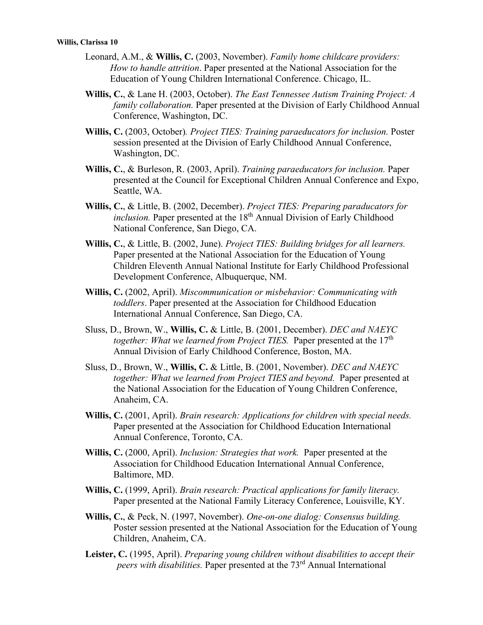- Leonard, A.M., & **Willis, C.** (2003, November). *Family home childcare providers: How to handle attrition*. Paper presented at the National Association for the Education of Young Children International Conference. Chicago, IL.
- **Willis, C.**, & Lane H. (2003, October). *The East Tennessee Autism Training Project: A family collaboration.* Paper presented at the Division of Early Childhood Annual Conference, Washington, DC.
- **Willis, C.** (2003, October)*. Project TIES: Training paraeducators for inclusion.* Poster session presented at the Division of Early Childhood Annual Conference, Washington, DC.
- **Willis, C.**, & Burleson, R. (2003, April). *Training paraeducators for inclusion.* Paper presented at the Council for Exceptional Children Annual Conference and Expo, Seattle, WA.
- **Willis, C.**, & Little, B. (2002, December). *Project TIES: Preparing paraducators for inclusion*. Paper presented at the 18<sup>th</sup> Annual Division of Early Childhood National Conference, San Diego, CA.
- **Willis, C.**, & Little, B. (2002, June). *Project TIES: Building bridges for all learners.*  Paper presented at the National Association for the Education of Young Children Eleventh Annual National Institute for Early Childhood Professional Development Conference, Albuquerque, NM.
- **Willis, C.** (2002, April). *Miscommunication or misbehavior: Communicating with toddlers*. Paper presented at the Association for Childhood Education International Annual Conference, San Diego, CA.
- Sluss, D., Brown, W., **Willis, C.** & Little, B. (2001, December). *DEC and NAEYC together: What we learned from Project TIES.* Paper presented at the 17<sup>th</sup> Annual Division of Early Childhood Conference, Boston, MA.
- Sluss, D., Brown, W., **Willis, C.** & Little, B. (2001, November). *DEC and NAEYC together: What we learned from Project TIES and beyond.* Paper presented at the National Association for the Education of Young Children Conference, Anaheim, CA.
- **Willis, C.** (2001, April). *Brain research: Applications for children with special needs.*  Paper presented at the Association for Childhood Education International Annual Conference, Toronto, CA.
- **Willis, C.** (2000, April). *Inclusion: Strategies that work.* Paper presented at the Association for Childhood Education International Annual Conference, Baltimore, MD.
- **Willis, C.** (1999, April). *Brain research: Practical applications for family literacy.*  Paper presented at the National Family Literacy Conference, Louisville, KY.
- **Willis, C.**, & Peck, N. (1997, November). *One-on-one dialog: Consensus building.*  Poster session presented at the National Association for the Education of Young Children, Anaheim, CA.
- **Leister, C.** (1995, April). *Preparing young children without disabilities to accept their peers with disabilities.* Paper presented at the 73rd Annual International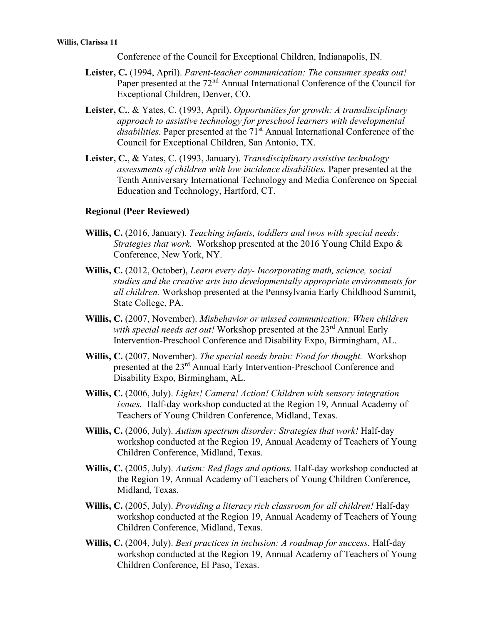Conference of the Council for Exceptional Children, Indianapolis, IN.

- **Leister, C.** (1994, April). *Parent-teacher communication: The consumer speaks out!*  Paper presented at the  $72<sup>nd</sup>$  Annual International Conference of the Council for Exceptional Children, Denver, CO.
- **Leister, C.**, & Yates, C. (1993, April). *Opportunities for growth: A transdisciplinary approach to assistive technology for preschool learners with developmental*  disabilities. Paper presented at the 71<sup>st</sup> Annual International Conference of the Council for Exceptional Children, San Antonio, TX.
- **Leister, C.**, & Yates, C. (1993, January). *Transdisciplinary assistive technology assessments of children with low incidence disabilities.* Paper presented at the Tenth Anniversary International Technology and Media Conference on Special Education and Technology, Hartford, CT.

#### **Regional (Peer Reviewed)**

- **Willis, C.** (2016, January). *Teaching infants, toddlers and twos with special needs: Strategies that work.* Workshop presented at the 2016 Young Child Expo & Conference, New York, NY.
- **Willis, C.** (2012, October), *Learn every day- Incorporating math, science, social studies and the creative arts into developmentally appropriate environments for all children.* Workshop presented at the Pennsylvania Early Childhood Summit, State College, PA.
- **Willis, C.** (2007, November). *Misbehavior or missed communication: When children*  with *special needs act out!* Workshop presented at the 23<sup>rd</sup> Annual Early Intervention-Preschool Conference and Disability Expo, Birmingham, AL.
- **Willis, C.** (2007, November). *The special needs brain: Food for thought.* Workshop presented at the 23rd Annual Early Intervention-Preschool Conference and Disability Expo, Birmingham, AL.
- **Willis, C.** (2006, July). *Lights! Camera! Action! Children with sensory integration issues.* Half-day workshop conducted at the Region 19, Annual Academy of Teachers of Young Children Conference, Midland, Texas.
- **Willis, C.** (2006, July). *Autism spectrum disorder: Strategies that work!* Half-day workshop conducted at the Region 19, Annual Academy of Teachers of Young Children Conference, Midland, Texas.
- **Willis, C.** (2005, July). *Autism: Red flags and options.* Half-day workshop conducted at the Region 19, Annual Academy of Teachers of Young Children Conference, Midland, Texas.
- **Willis, C.** (2005, July). *Providing a literacy rich classroom for all children!* Half-day workshop conducted at the Region 19, Annual Academy of Teachers of Young Children Conference, Midland, Texas.
- **Willis, C.** (2004, July). *Best practices in inclusion: A roadmap for success.* Half-day workshop conducted at the Region 19, Annual Academy of Teachers of Young Children Conference, El Paso, Texas.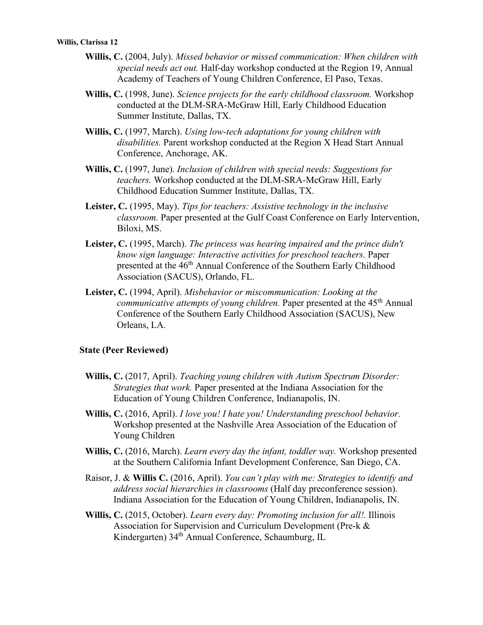- **Willis, C.** (2004, July). *Missed behavior or missed communication: When children with special needs act out.* Half-day workshop conducted at the Region 19, Annual Academy of Teachers of Young Children Conference, El Paso, Texas.
- **Willis, C.** (1998, June). *Science projects for the early childhood classroom.* Workshop conducted at the DLM-SRA-McGraw Hill, Early Childhood Education Summer Institute, Dallas, TX.
- **Willis, C.** (1997, March). *Using low-tech adaptations for young children with disabilities.* Parent workshop conducted at the Region X Head Start Annual Conference, Anchorage, AK.
- **Willis, C.** (1997, June). *Inclusion of children with special needs: Suggestions for teachers.* Workshop conducted at the DLM-SRA-McGraw Hill, Early Childhood Education Summer Institute, Dallas, TX.
- **Leister, C.** (1995, May). *Tips for teachers: Assistive technology in the inclusive classroom.* Paper presented at the Gulf Coast Conference on Early Intervention, Biloxi, MS.
- **Leister, C.** (1995, March). *The princess was hearing impaired and the prince didn't know sign language: Interactive activities for preschool teachers.* Paper presented at the 46<sup>th</sup> Annual Conference of the Southern Early Childhood Association (SACUS), Orlando, FL.
- **Leister, C.** (1994, April). *Misbehavior or miscommunication: Looking at the communicative attempts of young children.* Paper presented at the 45<sup>th</sup> Annual Conference of the Southern Early Childhood Association (SACUS), New Orleans, LA.

#### **State (Peer Reviewed)**

- **Willis, C.** (2017, April). *Teaching young children with Autism Spectrum Disorder: Strategies that work.* Paper presented at the Indiana Association for the Education of Young Children Conference, Indianapolis, IN.
- **Willis, C.** (2016, April). *I love you! I hate you! Understanding preschool behavior.*  Workshop presented at the Nashville Area Association of the Education of Young Children
- **Willis, C.** (2016, March). *Learn every day the infant, toddler way.* Workshop presented at the Southern California Infant Development Conference, San Diego, CA.
- Raisor, J. & **Willis C.** (2016, April). *You can't play with me: Strategies to identify and address social hierarchies in classrooms* (Half day preconference session). Indiana Association for the Education of Young Children, Indianapolis, IN.
- **Willis, C.** (2015, October). *Learn every day: Promoting inclusion for all!.* Illinois Association for Supervision and Curriculum Development (Pre-k & Kindergarten) 34th Annual Conference, Schaumburg, IL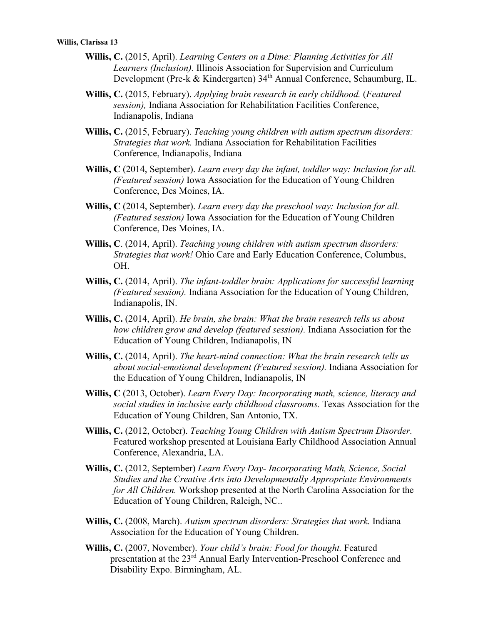- **Willis, C.** (2015, April). *Learning Centers on a Dime: Planning Activities for All Learners (Inclusion).* Illinois Association for Supervision and Curriculum Development (Pre-k & Kindergarten) 34th Annual Conference, Schaumburg, IL.
- **Willis, C.** (2015, February). *Applying brain research in early childhood.* (*Featured session),* Indiana Association for Rehabilitation Facilities Conference, Indianapolis, Indiana
- **Willis, C.** (2015, February). *Teaching young children with autism spectrum disorders: Strategies that work.* Indiana Association for Rehabilitation Facilities Conference, Indianapolis, Indiana
- **Willis, C** (2014, September). *Learn every day the infant, toddler way: Inclusion for all. (Featured session)* Iowa Association for the Education of Young Children Conference, Des Moines, IA.
- **Willis, C** (2014, September). *Learn every day the preschool way: Inclusion for all. (Featured session)* Iowa Association for the Education of Young Children Conference, Des Moines, IA.
- **Willis, C**. (2014, April). *Teaching young children with autism spectrum disorders: Strategies that work!* Ohio Care and Early Education Conference, Columbus, OH.
- **Willis, C.** (2014, April). *The infant-toddler brain: Applications for successful learning (Featured session).* Indiana Association for the Education of Young Children, Indianapolis, IN.
- **Willis, C.** (2014, April). *He brain, she brain: What the brain research tells us about how children grow and develop (featured session).* Indiana Association for the Education of Young Children, Indianapolis, IN
- **Willis, C.** (2014, April). *The heart-mind connection: What the brain research tells us about social-emotional development (Featured session).* Indiana Association for the Education of Young Children, Indianapolis, IN
- **Willis, C** (2013, October). *Learn Every Day: Incorporating math, science, literacy and social studies in inclusive early childhood classrooms.* Texas Association for the Education of Young Children, San Antonio, TX.
- **Willis, C.** (2012, October). *Teaching Young Children with Autism Spectrum Disorder.*  Featured workshop presented at Louisiana Early Childhood Association Annual Conference, Alexandria, LA.
- **Willis, C.** (2012, September) *Learn Every Day- Incorporating Math, Science, Social Studies and the Creative Arts into Developmentally Appropriate Environments for All Children.* Workshop presented at the North Carolina Association for the Education of Young Children, Raleigh, NC..
- **Willis, C.** (2008, March). *Autism spectrum disorders: Strategies that work.* Indiana Association for the Education of Young Children.
- **Willis, C.** (2007, November). *Your child's brain: Food for thought.* Featured presentation at the 23rd Annual Early Intervention-Preschool Conference and Disability Expo. Birmingham, AL.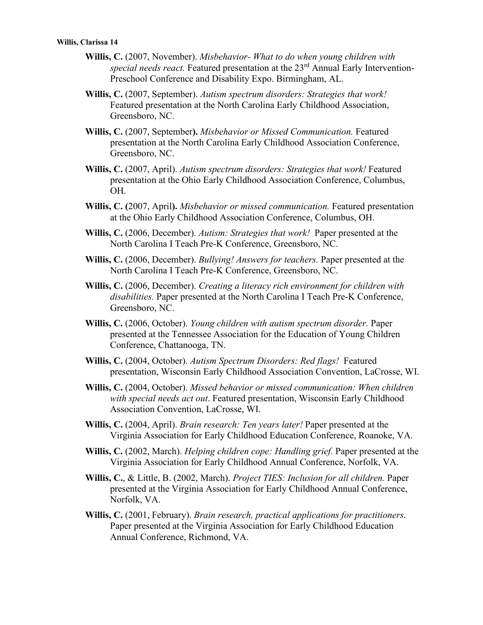- **Willis, C.** (2007, November). *Misbehavior- What to do when young children with special needs react.* Featured presentation at the 23rd Annual Early Intervention-Preschool Conference and Disability Expo. Birmingham, AL.
- **Willis, C.** (2007, September). *Autism spectrum disorders: Strategies that work!* Featured presentation at the North Carolina Early Childhood Association, Greensboro, NC.
- **Willis, C.** (2007, September**).** *Misbehavior or Missed Communication.* Featured presentation at the North Carolina Early Childhood Association Conference, Greensboro, NC.
- **Willis, C.** (2007, April). *Autism spectrum disorders: Strategies that work!* Featured presentation at the Ohio Early Childhood Association Conference, Columbus, OH.
- **Willis, C. (**2007, April**).** *Misbehavior or missed communication.* Featured presentation at the Ohio Early Childhood Association Conference, Columbus, OH.
- **Willis, C.** (2006, December). *Autism: Strategies that work!* Paper presented at the North Carolina I Teach Pre-K Conference, Greensboro, NC.
- **Willis, C.** (2006, December). *Bullying! Answers for teachers.* Paper presented at the North Carolina I Teach Pre-K Conference, Greensboro, NC.
- **Willis, C.** (2006, December). *Creating a literacy rich environment for children with disabilities.* Paper presented at the North Carolina I Teach Pre-K Conference, Greensboro, NC.
- **Willis, C.** (2006, October). *Young children with autism spectrum disorder.* Paper presented at the Tennessee Association for the Education of Young Children Conference, Chattanooga, TN.
- **Willis, C.** (2004, October). *Autism Spectrum Disorders: Red flags!* Featured presentation, Wisconsin Early Childhood Association Convention, LaCrosse, WI.
- **Willis, C.** (2004, October). *Missed behavior or missed communication: When children with special needs act out*. Featured presentation, Wisconsin Early Childhood Association Convention, LaCrosse, WI.
- **Willis, C.** (2004, April). *Brain research: Ten years later!* Paper presented at the Virginia Association for Early Childhood Education Conference, Roanoke, VA.
- **Willis, C.** (2002, March). *Helping children cope: Handling grief.* Paper presented at the Virginia Association for Early Childhood Annual Conference, Norfolk, VA.
- **Willis, C.**, & Little, B. (2002, March). *Project TIES: Inclusion for all children.* Paper presented at the Virginia Association for Early Childhood Annual Conference, Norfolk, VA.
- **Willis, C.** (2001, February). *Brain research, practical applications for practitioners.*  Paper presented at the Virginia Association for Early Childhood Education Annual Conference, Richmond, VA.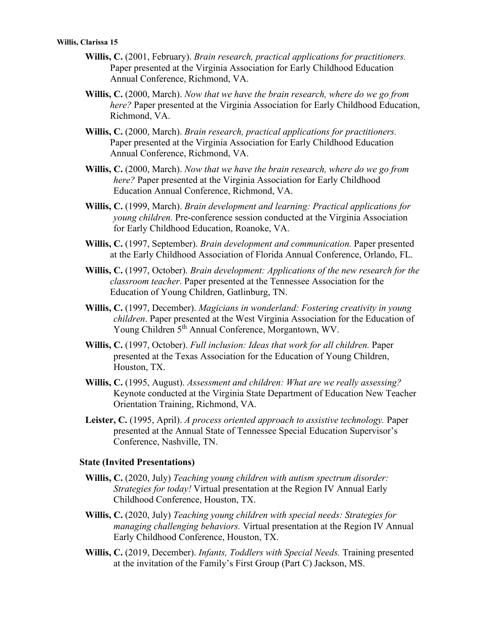- **Willis, C.** (2001, February). *Brain research, practical applications for practitioners.*  Paper presented at the Virginia Association for Early Childhood Education Annual Conference, Richmond, VA.
- **Willis, C.** (2000, March). *Now that we have the brain research, where do we go from here?* Paper presented at the Virginia Association for Early Childhood Education, Richmond, VA.
- **Willis, C.** (2000, March). *Brain research, practical applications for practitioners.*  Paper presented at the Virginia Association for Early Childhood Education Annual Conference, Richmond, VA.
- **Willis, C.** (2000, March). *Now that we have the brain research, where do we go from here?* Paper presented at the Virginia Association for Early Childhood Education Annual Conference, Richmond, VA.
- **Willis, C.** (1999, March). *Brain development and learning: Practical applications for young children.* Pre-conference session conducted at the Virginia Association for Early Childhood Education, Roanoke, VA.
- **Willis, C.** (1997, September). *Brain development and communication.* Paper presented at the Early Childhood Association of Florida Annual Conference, Orlando, FL.
- **Willis, C.** (1997, October). *Brain development: Applications of the new research for the classroom teacher*. Paper presented at the Tennessee Association for the Education of Young Children, Gatlinburg, TN.
- **Willis, C.** (1997, December). *Magicians in wonderland: Fostering creativity in young children*. Paper presented at the West Virginia Association for the Education of Young Children 5th Annual Conference, Morgantown, WV.
- **Willis, C.** (1997, October). *Full inclusion: Ideas that work for all children.* Paper presented at the Texas Association for the Education of Young Children, Houston, TX.
- **Willis, C.** (1995, August). *Assessment and children: What are we really assessing?*  Keynote conducted at the Virginia State Department of Education New Teacher Orientation Training, Richmond, VA.
- **Leister, C.** (1995, April). *A process oriented approach to assistive technology.* Paper presented at the Annual State of Tennessee Special Education Supervisor's Conference, Nashville, TN.

#### **State (Invited Presentations)**

- **Willis, C.** (2020, July) *Teaching young children with autism spectrum disorder: Strategies for today!* Virtual presentation at the Region IV Annual Early Childhood Conference, Houston, TX.
- **Willis, C.** (2020, July) *Teaching young children with special needs: Strategies for managing challenging behaviors.* Virtual presentation at the Region IV Annual Early Childhood Conference, Houston, TX.
- **Willis, C.** (2019, December). *Infants, Toddlers with Special Needs.* Training presented at the invitation of the Family's First Group (Part C) Jackson, MS.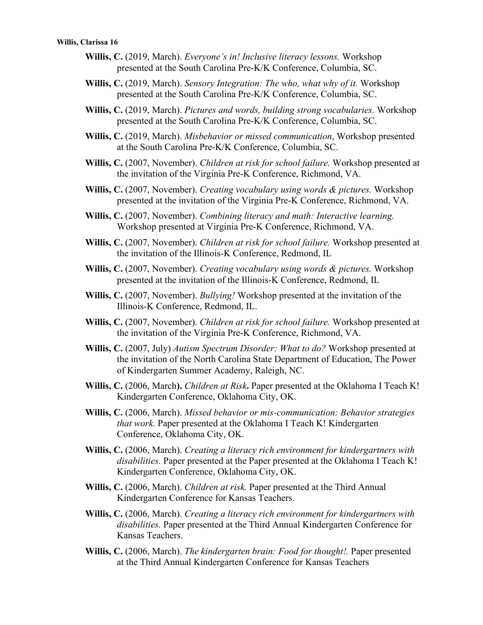- **Willis, C.** (2019, March). *Everyone's in! Inclusive literacy lessons.* Workshop presented at the South Carolina Pre-K/K Conference, Columbia, SC.
- **Willis, C.** (2019, March). *Sensory Integration: The who, what why of it.* Workshop presented at the South Carolina Pre-K/K Conference, Columbia, SC.
- **Willis, C.** (2019, March). *Pictures and words, building strong vocabularies.* Workshop presented at the South Carolina Pre-K/K Conference, Columbia, SC.
- **Willis, C.** (2019, March). *Misbehavior or missed communication*, Workshop presented at the South Carolina Pre-K/K Conference, Columbia, SC.
- **Willis, C.** (2007, November). *Children at risk for school failure.* Workshop presented at the invitation of the Virginia Pre-K Conference, Richmond, VA.
- **Willis, C.** (2007, November). *Creating vocabulary using words & pictures.* Workshop presented at the invitation of the Virginia Pre-K Conference, Richmond, VA.
- **Willis, C.** (2007, November). *Combining literacy and math: Interactive learning.*  Workshop presented at Virginia Pre-K Conference, Richmond, VA.
- **Willis, C.** (2007, November). *Children at risk for school failure.* Workshop presented at the invitation of the Illinois-K Conference, Redmond, IL
- **Willis, C.** (2007, November). *Creating vocabulary using words & pictures.* Workshop presented at the invitation of the Illinois-K Conference, Redmond, IL
- **Willis, C.** (2007, November). *Bullying!* Workshop presented at the invitation of the Illinois-K Conference, Redmond, IL.
- **Willis, C.** (2007, November). *Children at risk for school failure.* Workshop presented at the invitation of the Virginia Pre-K Conference, Richmond, VA.
- **Willis, C.** (2007, July) *Autism Spectrum Disorder: What to do?* Workshop presented at the invitation of the North Carolina State Department of Education, The Power of Kindergarten Summer Academy, Raleigh, NC.
- **Willis, C.** (2006, March**).** *Children at Risk***.** Paper presented at the Oklahoma I Teach K! Kindergarten Conference, Oklahoma City, OK.
- **Willis, C.** (2006, March). *Missed behavior or mis-communication: Behavior strategies that work.* Paper presented at the Oklahoma I Teach K! Kindergarten Conference, Oklahoma City, OK.
- **Willis, C.** (2006, March). *Creating a literacy rich environment for kindergartners with disabilities.* Paper presented at the Paper presented at the Oklahoma I Teach K! Kindergarten Conference, Oklahoma City, OK.
- **Willis, C.** (2006, March). *Children at risk.* Paper presented at the Third Annual Kindergarten Conference for Kansas Teachers.
- **Willis, C.** (2006, March). *Creating a literacy rich environment for kindergartners with disabilities.* Paper presented at the Third Annual Kindergarten Conference for Kansas Teachers.
- **Willis, C.** (2006, March). *The kindergarten brain: Food for thought!.* Paper presented at the Third Annual Kindergarten Conference for Kansas Teachers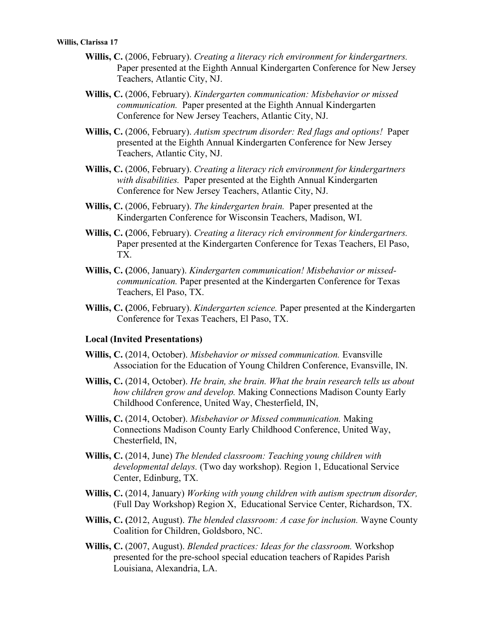- **Willis, C.** (2006, February). *Creating a literacy rich environment for kindergartners.*  Paper presented at the Eighth Annual Kindergarten Conference for New Jersey Teachers, Atlantic City, NJ.
- **Willis, C.** (2006, February). *Kindergarten communication: Misbehavior or missed communication.* Paper presented at the Eighth Annual Kindergarten Conference for New Jersey Teachers, Atlantic City, NJ.
- **Willis, C.** (2006, February). *Autism spectrum disorder: Red flags and options!* Paper presented at the Eighth Annual Kindergarten Conference for New Jersey Teachers, Atlantic City, NJ.
- **Willis, C.** (2006, February). *Creating a literacy rich environment for kindergartners with disabilities.* Paper presented at the Eighth Annual Kindergarten Conference for New Jersey Teachers, Atlantic City, NJ.
- **Willis, C.** (2006, February). *The kindergarten brain.* Paper presented at the Kindergarten Conference for Wisconsin Teachers, Madison, WI.
- **Willis, C. (**2006, February). *Creating a literacy rich environment for kindergartners.* Paper presented at the Kindergarten Conference for Texas Teachers, El Paso, TX.
- **Willis, C. (**2006, January). *Kindergarten communication! Misbehavior or missedcommunication.* Paper presented at the Kindergarten Conference for Texas Teachers, El Paso, TX.
- **Willis, C. (**2006, February). *Kindergarten science.* Paper presented at the Kindergarten Conference for Texas Teachers, El Paso, TX.

## **Local (Invited Presentations)**

- **Willis, C.** (2014, October). *Misbehavior or missed communication.* Evansville Association for the Education of Young Children Conference, Evansville, IN.
- **Willis, C.** (2014, October). *He brain, she brain. What the brain research tells us about how children grow and develop.* Making Connections Madison County Early Childhood Conference, United Way, Chesterfield, IN,
- **Willis, C.** (2014, October). *Misbehavior or Missed communication.* Making Connections Madison County Early Childhood Conference, United Way, Chesterfield, IN,
- **Willis, C.** (2014, June) *The blended classroom: Teaching young children with developmental delays.* (Two day workshop). Region 1, Educational Service Center, Edinburg, TX.
- **Willis, C.** (2014, January) *Working with young children with autism spectrum disorder,*  (Full Day Workshop) Region X, Educational Service Center, Richardson, TX.
- **Willis, C. (**2012, August). *The blended classroom: A case for inclusion.* Wayne County Coalition for Children, Goldsboro, NC.
- **Willis, C.** (2007, August). *Blended practices: Ideas for the classroom.* Workshop presented for the pre-school special education teachers of Rapides Parish Louisiana, Alexandria, LA.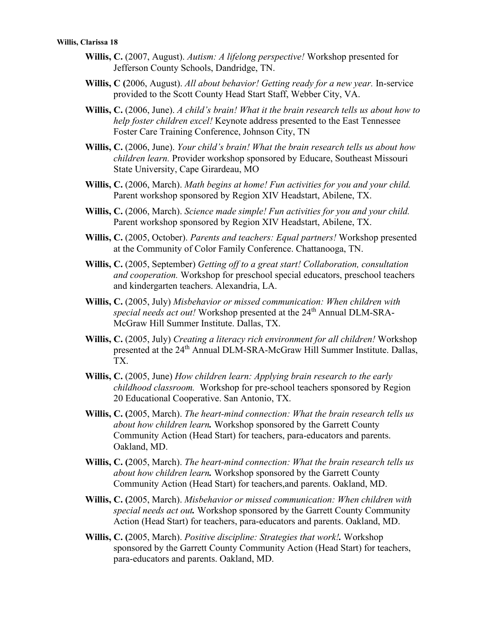- **Willis, C.** (2007, August). *Autism: A lifelong perspective!* Workshop presented for Jefferson County Schools, Dandridge, TN.
- **Willis, C (**2006, August). *All about behavior! Getting ready for a new year.* In-service provided to the Scott County Head Start Staff, Webber City, VA.
- **Willis, C.** (2006, June). *A child's brain! What it the brain research tells us about how to help foster children excel!* Keynote address presented to the East Tennessee Foster Care Training Conference, Johnson City, TN
- **Willis, C.** (2006, June). *Your child's brain! What the brain research tells us about how children learn.* Provider workshop sponsored by Educare, Southeast Missouri State University, Cape Girardeau, MO
- **Willis, C.** (2006, March). *Math begins at home! Fun activities for you and your child.*  Parent workshop sponsored by Region XIV Headstart, Abilene, TX.
- **Willis, C.** (2006, March). *Science made simple! Fun activities for you and your child.*  Parent workshop sponsored by Region XIV Headstart, Abilene, TX.
- **Willis, C.** (2005, October). *Parents and teachers: Equal partners!* Workshop presented at the Community of Color Family Conference. Chattanooga, TN.
- **Willis, C.** (2005, September) *Getting off to a great start! Collaboration, consultation and cooperation.* Workshop for preschool special educators, preschool teachers and kindergarten teachers. Alexandria, LA.
- **Willis, C.** (2005, July) *Misbehavior or missed communication: When children with special needs act out!* Workshop presented at the 24th Annual DLM-SRA-McGraw Hill Summer Institute. Dallas, TX.
- **Willis, C.** (2005, July) *Creating a literacy rich environment for all children!* Workshop presented at the 24th Annual DLM-SRA-McGraw Hill Summer Institute. Dallas, TX.
- **Willis, C.** (2005, June) *How children learn: Applying brain research to the early childhood classroom.* Workshop for pre-school teachers sponsored by Region 20 Educational Cooperative. San Antonio, TX.
- **Willis, C. (**2005, March). *The heart-mind connection: What the brain research tells us about how children learn.* Workshop sponsored by the Garrett County Community Action (Head Start) for teachers, para-educators and parents. Oakland, MD.
- **Willis, C. (**2005, March). *The heart-mind connection: What the brain research tells us about how children learn.* Workshop sponsored by the Garrett County Community Action (Head Start) for teachers,and parents. Oakland, MD.
- **Willis, C. (**2005, March). *Misbehavior or missed communication: When children with special needs act out.* Workshop sponsored by the Garrett County Community Action (Head Start) for teachers, para-educators and parents. Oakland, MD.
- **Willis, C. (**2005, March). *Positive discipline: Strategies that work!.* Workshop sponsored by the Garrett County Community Action (Head Start) for teachers, para-educators and parents. Oakland, MD.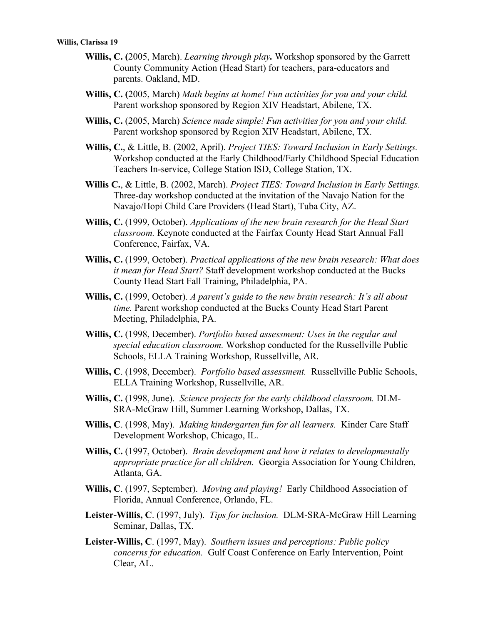- **Willis, C. (**2005, March). *Learning through play.* Workshop sponsored by the Garrett County Community Action (Head Start) for teachers, para-educators and parents. Oakland, MD.
- **Willis, C. (**2005, March) *Math begins at home! Fun activities for you and your child.*  Parent workshop sponsored by Region XIV Headstart, Abilene, TX.
- **Willis, C.** (2005, March) *Science made simple! Fun activities for you and your child.*  Parent workshop sponsored by Region XIV Headstart, Abilene, TX.
- **Willis, C.**, & Little, B. (2002, April). *Project TIES: Toward Inclusion in Early Settings.* Workshop conducted at the Early Childhood/Early Childhood Special Education Teachers In-service, College Station ISD, College Station, TX.
- **Willis C.**, & Little, B. (2002, March). *Project TIES: Toward Inclusion in Early Settings.*  Three-day workshop conducted at the invitation of the Navajo Nation for the Navajo/Hopi Child Care Providers (Head Start), Tuba City, AZ.
- **Willis, C.** (1999, October). *Applications of the new brain research for the Head Start classroom.* Keynote conducted at the Fairfax County Head Start Annual Fall Conference, Fairfax, VA.
- **Willis, C.** (1999, October). *Practical applications of the new brain research: What does it mean for Head Start?* Staff development workshop conducted at the Bucks County Head Start Fall Training, Philadelphia, PA.
- **Willis, C.** (1999, October). *A parent's guide to the new brain research: It's all about time.* Parent workshop conducted at the Bucks County Head Start Parent Meeting, Philadelphia, PA.
- **Willis, C.** (1998, December). *Portfolio based assessment: Uses in the regular and special education classroom.* Workshop conducted for the Russellville Public Schools, ELLA Training Workshop, Russellville, AR.
- **Willis, C**. (1998, December). *Portfolio based assessment.* Russellville Public Schools, ELLA Training Workshop, Russellville, AR.
- **Willis, C.** (1998, June). *Science projects for the early childhood classroom.* DLM-SRA-McGraw Hill, Summer Learning Workshop, Dallas, TX.
- **Willis, C**. (1998, May). *Making kindergarten fun for all learners.* Kinder Care Staff Development Workshop, Chicago, IL.
- **Willis, C.** (1997, October). *Brain development and how it relates to developmentally appropriate practice for all children.* Georgia Association for Young Children, Atlanta, GA.
- **Willis, C**. (1997, September). *Moving and playing!* Early Childhood Association of Florida, Annual Conference, Orlando, FL.
- **Leister-Willis, C**. (1997, July). *Tips for inclusion.* DLM-SRA-McGraw Hill Learning Seminar, Dallas, TX.
- **Leister-Willis, C**. (1997, May). *Southern issues and perceptions: Public policy concerns for education.* Gulf Coast Conference on Early Intervention, Point Clear, AL.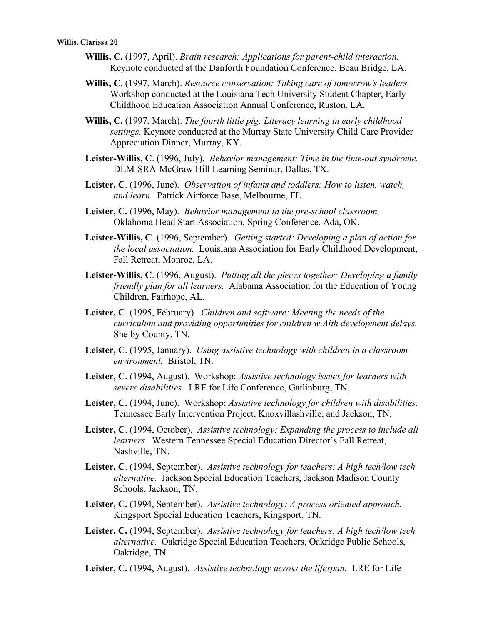- **Willis, C.** (1997, April). *Brain research: Applications for parent-child interaction.*  Keynote conducted at the Danforth Foundation Conference, Beau Bridge, LA.
- **Willis, C.** (1997, March). *Resource conservation: Taking care of tomorrow's leaders.*  Workshop conducted at the Louisiana Tech University Student Chapter, Early Childhood Education Association Annual Conference, Ruston, LA.
- **Willis, C.** (1997, March). *The fourth little pig: Literacy learning in early childhood settings.* Keynote conducted at the Murray State University Child Care Provider Appreciation Dinner, Murray, KY.
- **Leister-Willis, C**. (1996, July). *Behavior management: Time in the time-out syndrome.*  DLM-SRA-McGraw Hill Learning Seminar, Dallas, TX.
- **Leister, C**. (1996, June). *Observation of infants and toddlers: How to listen, watch, and learn.* Patrick Airforce Base, Melbourne, FL.
- **Leister, C.** (1996, May). *Behavior management in the pre-school classroom.*  Oklahoma Head Start Association, Spring Conference, Ada, OK.
- **Leister-Willis, C**. (1996, September). *Getting started: Developing a plan of action for the local association.* Louisiana Association for Early Childhood Development, Fall Retreat, Monroe, LA.
- **Leister-Willis, C**. (1996, August). *Putting all the pieces together: Developing a family friendly plan for all learners.* Alabama Association for the Education of Young Children, Fairhope, AL.
- **Leister, C**. (1995, February). *Children and software: Meeting the needs of the curriculum and providing opportunities for children w Aith development delays.*  Shelby County, TN.
- **Leister, C**. (1995, January). *Using assistive technology with children in a classroom environment.* Bristol, TN.
- **Leister, C**. (1994, August). Workshop: *Assistive technology issues for learners with severe disabilities.* LRE for Life Conference, Gatlinburg, TN.
- **Leister, C.** (1994, June). Workshop: *Assistive technology for children with disabilities.*  Tennessee Early Intervention Project, Knoxvillashville, and Jackson, TN.
- **Leister, C**. (1994, October). *Assistive technology: Expanding the process to include all learners.* Western Tennessee Special Education Director's Fall Retreat, Nashville, TN.
- **Leister, C**. (1994, September). *Assistive technology for teachers: A high tech/low tech alternative.* Jackson Special Education Teachers, Jackson Madison County Schools, Jackson, TN.
- **Leister, C.** (1994, September). *Assistive technology: A process oriented approach.*  Kingsport Special Education Teachers, Kingsport, TN.
- **Leister, C.** (1994, September). *Assistive technology for teachers: A high tech/low tech alternative.* Oakridge Special Education Teachers, Oakridge Public Schools, Oakridge, TN.
- **Leister, C.** (1994, August). *Assistive technology across the lifespan.* LRE for Life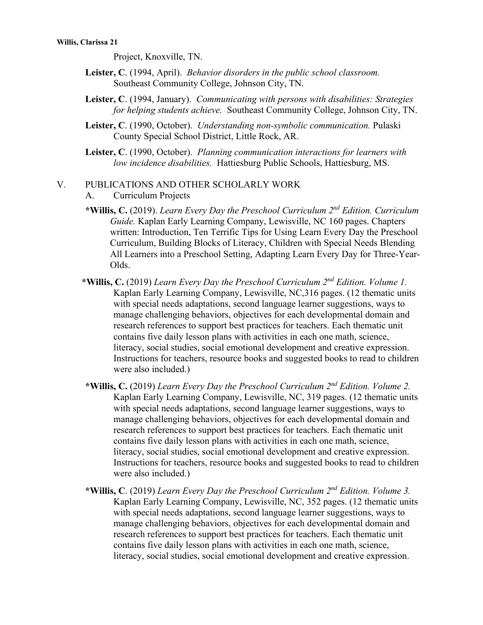Project, Knoxville, TN.

- **Leister, C**. (1994, April). *Behavior disorders in the public school classroom.*  Southeast Community College, Johnson City, TN.
- **Leister, C**. (1994, January). *Communicating with persons with disabilities: Strategies for helping students achieve.* Southeast Community College, Johnson City, TN.
- **Leister, C**. (1990, October). *Understanding non-symbolic communication.* Pulaski County Special School District, Little Rock, AR.
- **Leister, C**. (1990, October). *Planning communication interactions for learners with low incidence disabilities.* Hattiesburg Public Schools, Hattiesburg, MS.

#### V. PUBLICATIONS AND OTHER SCHOLARLY WORK

- A. Curriculum Projects
- **\*Willis, C.** (2019). *Learn Every Day the Preschool Curriculum 2nd Edition. Curriculum Guide.* Kaplan Early Learning Company, Lewisville, NC 160 pages. Chapters written: Introduction, Ten Terrific Tips for Using Learn Every Day the Preschool Curriculum, Building Blocks of Literacy, Children with Special Needs Blending All Learners into a Preschool Setting, Adapting Learn Every Day for Three-Year-Olds.
- **\*Willis, C.** (2019) *Learn Every Day the Preschool Curriculum 2nd Edition. Volume 1.* Kaplan Early Learning Company, Lewisville, NC,316 pages. (12 thematic units with special needs adaptations, second language learner suggestions, ways to manage challenging behaviors, objectives for each developmental domain and research references to support best practices for teachers. Each thematic unit contains five daily lesson plans with activities in each one math, science, literacy, social studies, social emotional development and creative expression. Instructions for teachers, resource books and suggested books to read to children were also included.)
- **\*Willis, C.** (2019) *Learn Every Day the Preschool Curriculum 2nd Edition. Volume 2.* Kaplan Early Learning Company, Lewisville, NC, 319 pages. (12 thematic units with special needs adaptations, second language learner suggestions, ways to manage challenging behaviors, objectives for each developmental domain and research references to support best practices for teachers. Each thematic unit contains five daily lesson plans with activities in each one math, science, literacy, social studies, social emotional development and creative expression. Instructions for teachers, resource books and suggested books to read to children were also included.)
- **\*Willis, C**. (2019) *Learn Every Day the Preschool Curriculum 2nd Edition. Volume 3.* Kaplan Early Learning Company, Lewisville, NC, 352 pages. (12 thematic units with special needs adaptations, second language learner suggestions, ways to manage challenging behaviors, objectives for each developmental domain and research references to support best practices for teachers. Each thematic unit contains five daily lesson plans with activities in each one math, science, literacy, social studies, social emotional development and creative expression.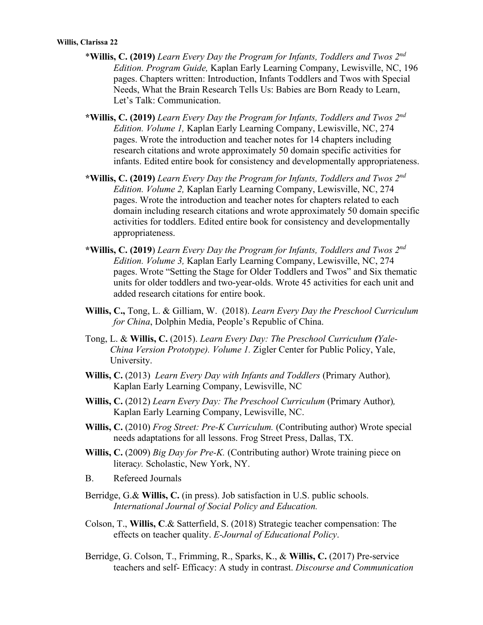- \***Willis, C. (2019)** *Learn Every Day the Program for Infants, Toddlers and Twos 2nd Edition. Program Guide,* Kaplan Early Learning Company, Lewisville, NC, 196 pages. Chapters written: Introduction, Infants Toddlers and Twos with Special Needs, What the Brain Research Tells Us: Babies are Born Ready to Learn, Let's Talk: Communication.
- **\*Willis, C. (2019)** *Learn Every Day the Program for Infants, Toddlers and Twos 2nd Edition. Volume 1,* Kaplan Early Learning Company, Lewisville, NC, 274 pages. Wrote the introduction and teacher notes for 14 chapters including research citations and wrote approximately 50 domain specific activities for infants. Edited entire book for consistency and developmentally appropriateness.
- **\*Willis, C. (2019)** *Learn Every Day the Program for Infants, Toddlers and Twos 2nd Edition. Volume 2,* Kaplan Early Learning Company, Lewisville, NC, 274 pages. Wrote the introduction and teacher notes for chapters related to each domain including research citations and wrote approximately 50 domain specific activities for toddlers. Edited entire book for consistency and developmentally appropriateness.
- **\*Willis, C. (2019**) *Learn Every Day the Program for Infants, Toddlers and Twos 2nd Edition. Volume 3,* Kaplan Early Learning Company, Lewisville, NC, 274 pages. Wrote "Setting the Stage for Older Toddlers and Twos" and Six thematic units for older toddlers and two-year-olds. Wrote 45 activities for each unit and added research citations for entire book.
- **Willis, C.,** Tong, L. & Gilliam, W. (2018). *Learn Every Day the Preschool Curriculum for China*, Dolphin Media, People's Republic of China.
- Tong, L. & **Willis, C.** (2015). *Learn Every Day: The Preschool Curriculum (Yale-China Version Prototype). Volume 1.* Zigler Center for Public Policy, Yale, University.
- **Willis, C.** (2013)*Learn Every Day with Infants and Toddlers* (Primary Author)*,* Kaplan Early Learning Company, Lewisville, NC
- **Willis, C.** (2012) *Learn Every Day: The Preschool Curriculum* (Primary Author)*,* Kaplan Early Learning Company, Lewisville, NC.
- **Willis, C.** (2010) *Frog Street: Pre-K Curriculum.* (Contributing author) Wrote special needs adaptations for all lessons. Frog Street Press, Dallas, TX.
- **Willis, C.** (2009) *Big Day for Pre-K.* (Contributing author) Wrote training piece on literac*y.* Scholastic, New York, NY.
- B. Refereed Journals
- Berridge, G.& **Willis, C.** (in press). Job satisfaction in U.S. public schools. *International Journal of Social Policy and Education.*
- Colson, T., **Willis, C**.& Satterfield, S. (2018) Strategic teacher compensation: The effects on teacher quality. *E-Journal of Educational Policy*.
- Berridge, G. Colson, T., Frimming, R., Sparks, K., & **Willis, C.** (2017) Pre-service teachers and self- Efficacy: A study in contrast. *Discourse and Communication*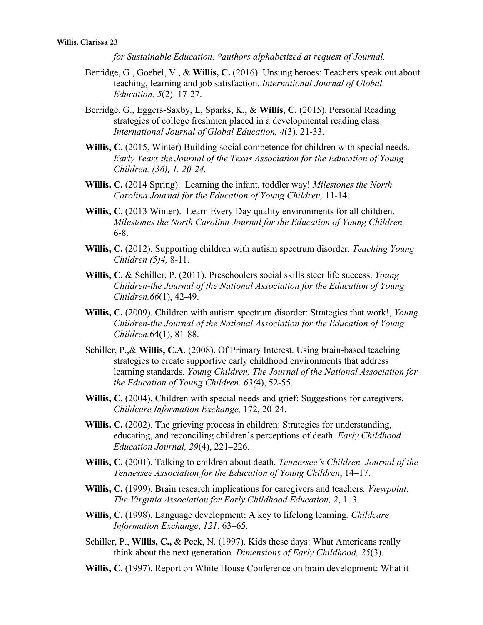*for Sustainable Education. \*authors alphabetized at request of Journal.*

- Berridge, G., Goebel, V., & **Willis, C.** (2016). Unsung heroes: Teachers speak out about teaching, learning and job satisfaction. *International Journal of Global Education, 5*(2). 17-27.
- Berridge, G., Eggers-Saxby, L, Sparks, K., & **Willis, C.** (2015). Personal Reading strategies of college freshmen placed in a developmental reading class. *International Journal of Global Education, 4*(3). 21-33.
- Willis, C. (2015, Winter) Building social competence for children with special needs. *Early Years the Journal of the Texas Association for the Education of Young Children, (36), 1. 20-24.*
- **Willis, C.** (2014 Spring). Learning the infant, toddler way! *Milestones the North Carolina Journal for the Education of Young Children,* 11-14.
- **Willis, C.** (2013 Winter). Learn Every Day quality environments for all children. *Milestones the North Carolina Journal for the Education of Young Children.* 6-8.
- **Willis, C.** (2012). Supporting children with autism spectrum disorder*. Teaching Young Children (5)4,* 8-11.
- **Willis, C.** & Schiller, P. (2011). Preschoolers social skills steer life success. *Young Children-the Journal of the National Association for the Education of Young Children.66*(1), 42-49.
- **Willis, C.** (2009). Children with autism spectrum disorder: Strategies that work!, *Young Children-the Journal of the National Association for the Education of Young Children.*64(1), 81-88.
- Schiller, P.,& **Willis, C.A**. (2008). Of Primary Interest. Using brain-based teaching strategies to create supportive early childhood environments that address learning standards. *Young Children, The Journal of the National Association for the Education of Young Children. 63(*4), 52-55.
- **Willis, C.** (2004). Children with special needs and grief: Suggestions for caregivers. *Childcare Information Exchange,* 172, 20-24.
- **Willis, C.** (2002). The grieving process in children: Strategies for understanding, educating, and reconciling children's perceptions of death. *Early Childhood Education Journal, 29*(4), 221–226*.*
- **Willis, C.** (2001). Talking to children about death. *Tennessee's Children, Journal of the Tennessee Association for the Education of Young Children*, 14–17.
- **Willis, C.** (1999). Brain research implications for caregivers and teachers*. Viewpoint*, *The Virginia Association for Early Childhood Education, 2*, 1–3.
- **Willis, C.** (1998). Language development: A key to lifelong learning*. Childcare Information Exchange*, *121*, 63–65.
- Schiller, P., **Willis, C.,** & Peck, N. (1997). Kids these days: What Americans really think about the next generation*. Dimensions of Early Childhood, 25*(3).
- **Willis, C.** (1997). Report on White House Conference on brain development: What it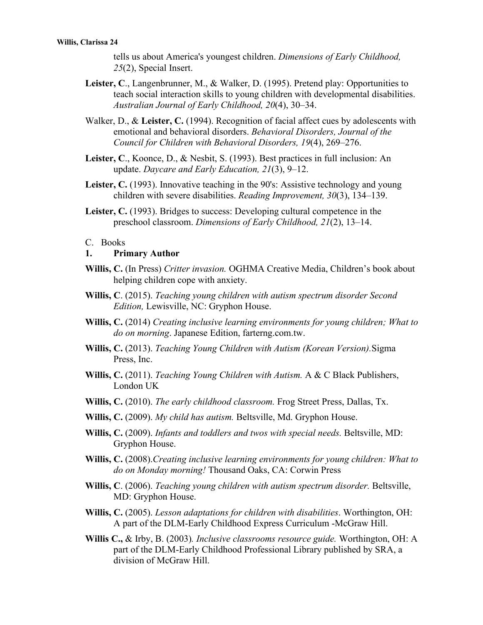tells us about America's youngest children. *Dimensions of Early Childhood, 25*(2), Special Insert.

- **Leister, C**., Langenbrunner, M., & Walker, D. (1995). Pretend play: Opportunities to teach social interaction skills to young children with developmental disabilities. *Australian Journal of Early Childhood, 20*(4), 30–34.
- Walker, D., & **Leister, C.** (1994). Recognition of facial affect cues by adolescents with emotional and behavioral disorders. *Behavioral Disorders, Journal of the Council for Children with Behavioral Disorders, 19*(4), 269–276.
- **Leister, C**., Koonce, D., & Nesbit, S. (1993). Best practices in full inclusion: An update. *Daycare and Early Education, 21*(3), 9–12.
- **Leister, C.** (1993). Innovative teaching in the 90's: Assistive technology and young children with severe disabilities. *Reading Improvement, 30*(3), 134–139.
- **Leister, C.** (1993). Bridges to success: Developing cultural competence in the preschool classroom. *Dimensions of Early Childhood, 21*(2), 13–14.

#### C. Books

#### **1. Primary Author**

- **Willis, C.** (In Press) *Critter invasion.* OGHMA Creative Media, Children's book about helping children cope with anxiety.
- **Willis, C**. (2015). *Teaching young children with autism spectrum disorder Second Edition,* Lewisville, NC: Gryphon House.
- **Willis, C.** (2014) *Creating inclusive learning environments for young children; What to do on morning*. Japanese Edition, farterng.com.tw.
- **Willis, C.** (2013). *Teaching Young Children with Autism (Korean Version).*Sigma Press, Inc.
- **Willis, C.** (2011). *Teaching Young Children with Autism.* A & C Black Publishers, London UK
- **Willis, C.** (2010). *The early childhood classroom.* Frog Street Press, Dallas, Tx.
- **Willis, C.** (2009). *My child has autism.* Beltsville, Md. Gryphon House.
- **Willis, C.** (2009). *Infants and toddlers and twos with special needs.* Beltsville, MD: Gryphon House.
- **Willis, C.** (2008).*Creating inclusive learning environments for young children: What to do on Monday morning!* Thousand Oaks, CA: Corwin Press
- **Willis, C**. (2006). *Teaching young children with autism spectrum disorder.* Beltsville, MD: Gryphon House.
- **Willis, C.** (2005). *Lesson adaptations for children with disabilities*. Worthington, OH: A part of the DLM-Early Childhood Express Curriculum -McGraw Hill.
- **Willis C.,** & Irby, B. (2003)*. Inclusive classrooms resource guide.* Worthington, OH: A part of the DLM-Early Childhood Professional Library published by SRA, a division of McGraw Hill.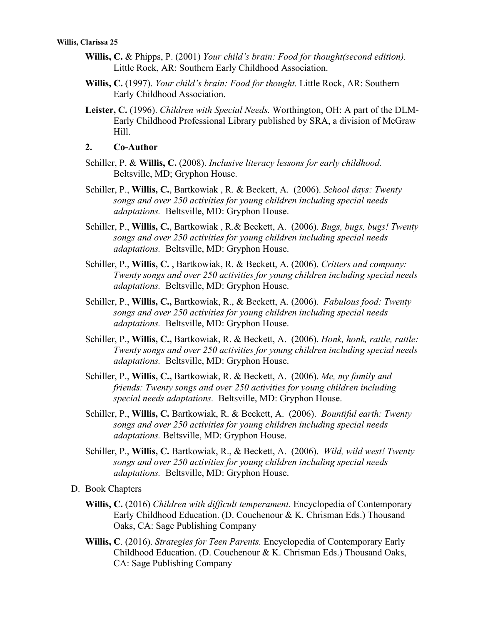- **Willis, C.** & Phipps, P. (2001) *Your child's brain: Food for thought(second edition).*  Little Rock, AR: Southern Early Childhood Association.
- **Willis, C.** (1997). *Your child's brain: Food for thought.* Little Rock, AR: Southern Early Childhood Association.
- **Leister, C.** (1996). *Children with Special Needs.* Worthington, OH: A part of the DLM-Early Childhood Professional Library published by SRA, a division of McGraw Hill.

#### **2. Co-Author**

- Schiller, P. & **Willis, C.** (2008). *Inclusive literacy lessons for early childhood.* Beltsville, MD; Gryphon House.
- Schiller, P., **Willis, C.**, Bartkowiak , R. & Beckett, A. (2006). *School days: Twenty songs and over 250 activities for young children including special needs adaptations.* Beltsville, MD: Gryphon House.
- Schiller, P., **Willis, C.**, Bartkowiak , R.& Beckett, A. (2006). *Bugs, bugs, bugs! Twenty songs and over 250 activities for young children including special needs adaptations.* Beltsville, MD: Gryphon House.
- Schiller, P., **Willis, C.** , Bartkowiak, R. & Beckett, A. (2006). *Critters and company: Twenty songs and over 250 activities for young children including special needs adaptations.* Beltsville, MD: Gryphon House.
- Schiller, P., **Willis, C.,** Bartkowiak, R., & Beckett, A. (2006). *Fabulous food: Twenty songs and over 250 activities for young children including special needs adaptations.* Beltsville, MD: Gryphon House.
- Schiller, P., **Willis, C.,** Bartkowiak, R. & Beckett, A. (2006). *Honk, honk, rattle, rattle: Twenty songs and over 250 activities for young children including special needs adaptations.* Beltsville, MD: Gryphon House.
- Schiller, P., **Willis, C.,** Bartkowiak, R. & Beckett, A. (2006). *Me, my family and friends: Twenty songs and over 250 activities for young children including special needs adaptations.* Beltsville, MD: Gryphon House.
- Schiller, P., **Willis, C.** Bartkowiak, R. & Beckett, A. (2006). *Bountiful earth: Twenty songs and over 250 activities for young children including special needs adaptations.* Beltsville, MD: Gryphon House.
- Schiller, P., **Willis, C.** Bartkowiak, R., & Beckett, A. (2006). *Wild, wild west! Twenty songs and over 250 activities for young children including special needs adaptations.* Beltsville, MD: Gryphon House.
- D. Book Chapters
	- **Willis, C.** (2016) *Children with difficult temperament.* Encyclopedia of Contemporary Early Childhood Education. (D. Couchenour & K. Chrisman Eds.) Thousand Oaks, CA: Sage Publishing Company
	- **Willis, C**. (2016). *Strategies for Teen Parents.* Encyclopedia of Contemporary Early Childhood Education. (D. Couchenour & K. Chrisman Eds.) Thousand Oaks, CA: Sage Publishing Company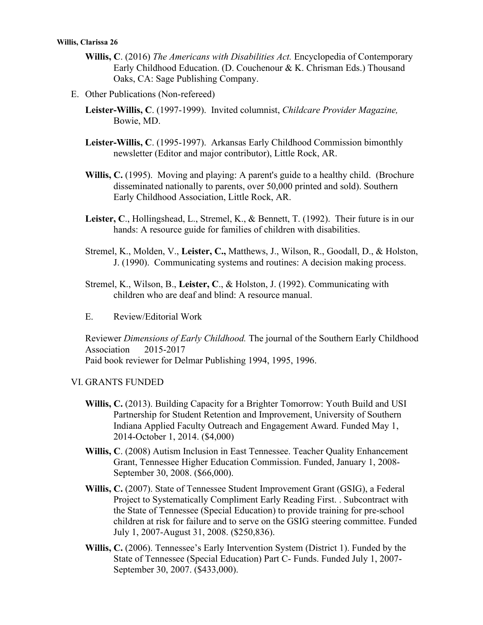- **Willis, C**. (2016) *The Americans with Disabilities Act.* Encyclopedia of Contemporary Early Childhood Education. (D. Couchenour & K. Chrisman Eds.) Thousand Oaks, CA: Sage Publishing Company.
- E. Other Publications (Non-refereed)
	- **Leister-Willis, C**. (1997-1999). Invited columnist, *Childcare Provider Magazine,*  Bowie, MD.
	- **Leister-Willis, C**. (1995-1997). Arkansas Early Childhood Commission bimonthly newsletter (Editor and major contributor), Little Rock, AR.
	- **Willis, C.** (1995). Moving and playing: A parent's guide to a healthy child. (Brochure disseminated nationally to parents, over 50,000 printed and sold). Southern Early Childhood Association, Little Rock, AR.
	- **Leister, C**., Hollingshead, L., Stremel, K., & Bennett, T. (1992). Their future is in our hands: A resource guide for families of children with disabilities.
	- Stremel, K., Molden, V., **Leister, C.,** Matthews, J., Wilson, R., Goodall, D., & Holston, J. (1990). Communicating systems and routines: A decision making process.
	- Stremel, K., Wilson, B., **Leister, C**., & Holston, J. (1992). Communicating with children who are deaf and blind: A resource manual.
	- E. Review/Editorial Work

Reviewer *Dimensions of Early Childhood.* The journal of the Southern Early Childhood Association 2015-2017 Paid book reviewer for Delmar Publishing 1994, 1995, 1996.

#### VI. GRANTS FUNDED

- **Willis, C.** (2013). Building Capacity for a Brighter Tomorrow: Youth Build and USI Partnership for Student Retention and Improvement, University of Southern Indiana Applied Faculty Outreach and Engagement Award. Funded May 1, 2014-October 1, 2014. (\$4,000)
- **Willis, C**. (2008) Autism Inclusion in East Tennessee. Teacher Quality Enhancement Grant, Tennessee Higher Education Commission. Funded, January 1, 2008- September 30, 2008. (\$66,000).
- **Willis, C.** (2007). State of Tennessee Student Improvement Grant (GSIG), a Federal Project to Systematically Compliment Early Reading First. . Subcontract with the State of Tennessee (Special Education) to provide training for pre-school children at risk for failure and to serve on the GSIG steering committee. Funded July 1, 2007-August 31, 2008. (\$250,836).
- **Willis, C.** (2006). Tennessee's Early Intervention System (District 1). Funded by the State of Tennessee (Special Education) Part C- Funds. Funded July 1, 2007- September 30, 2007. (\$433,000).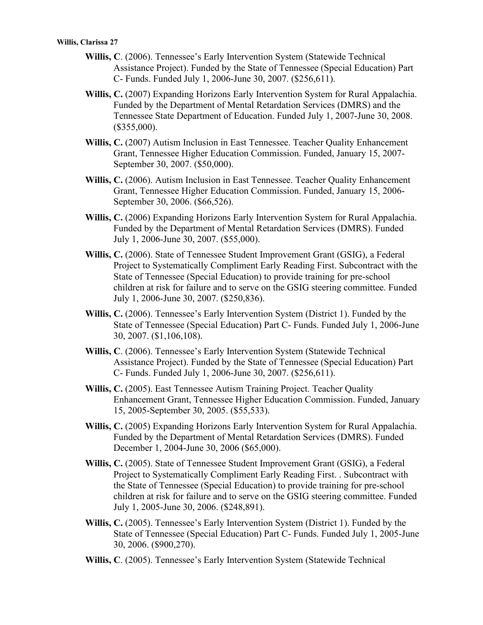- **Willis, C**. (2006). Tennessee's Early Intervention System (Statewide Technical Assistance Project). Funded by the State of Tennessee (Special Education) Part C- Funds. Funded July 1, 2006-June 30, 2007. (\$256,611).
- **Willis, C.** (2007) Expanding Horizons Early Intervention System for Rural Appalachia. Funded by the Department of Mental Retardation Services (DMRS) and the Tennessee State Department of Education. Funded July 1, 2007-June 30, 2008. (\$355,000).
- **Willis, C.** (2007) Autism Inclusion in East Tennessee. Teacher Quality Enhancement Grant, Tennessee Higher Education Commission. Funded, January 15, 2007- September 30, 2007. (\$50,000).
- **Willis, C.** (2006). Autism Inclusion in East Tennessee. Teacher Quality Enhancement Grant, Tennessee Higher Education Commission. Funded, January 15, 2006- September 30, 2006. (\$66,526).
- Willis, C. (2006) Expanding Horizons Early Intervention System for Rural Appalachia. Funded by the Department of Mental Retardation Services (DMRS). Funded July 1, 2006-June 30, 2007. (\$55,000).
- **Willis, C.** (2006). State of Tennessee Student Improvement Grant (GSIG), a Federal Project to Systematically Compliment Early Reading First. Subcontract with the State of Tennessee (Special Education) to provide training for pre-school children at risk for failure and to serve on the GSIG steering committee. Funded July 1, 2006-June 30, 2007. (\$250,836).
- **Willis, C.** (2006). Tennessee's Early Intervention System (District 1). Funded by the State of Tennessee (Special Education) Part C- Funds. Funded July 1, 2006-June 30, 2007. (\$1,106,108).
- **Willis, C**. (2006). Tennessee's Early Intervention System (Statewide Technical Assistance Project). Funded by the State of Tennessee (Special Education) Part C- Funds. Funded July 1, 2006-June 30, 2007. (\$256,611).
- **Willis, C.** (2005). East Tennessee Autism Training Project. Teacher Quality Enhancement Grant, Tennessee Higher Education Commission. Funded, January 15, 2005-September 30, 2005. (\$55,533).
- Willis, C. (2005) Expanding Horizons Early Intervention System for Rural Appalachia. Funded by the Department of Mental Retardation Services (DMRS). Funded December 1, 2004-June 30, 2006 (\$65,000).
- **Willis, C.** (2005). State of Tennessee Student Improvement Grant (GSIG), a Federal Project to Systematically Compliment Early Reading First. . Subcontract with the State of Tennessee (Special Education) to provide training for pre-school children at risk for failure and to serve on the GSIG steering committee. Funded July 1, 2005-June 30, 2006. (\$248,891).
- **Willis, C.** (2005). Tennessee's Early Intervention System (District 1). Funded by the State of Tennessee (Special Education) Part C- Funds. Funded July 1, 2005-June 30, 2006. (\$900,270).
- **Willis, C**. (2005). Tennessee's Early Intervention System (Statewide Technical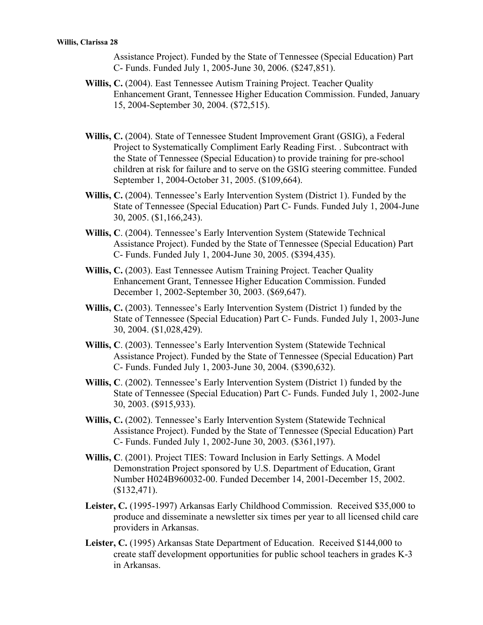Assistance Project). Funded by the State of Tennessee (Special Education) Part C- Funds. Funded July 1, 2005-June 30, 2006. (\$247,851).

- **Willis, C.** (2004). East Tennessee Autism Training Project. Teacher Quality Enhancement Grant, Tennessee Higher Education Commission. Funded, January 15, 2004-September 30, 2004. (\$72,515).
- **Willis, C.** (2004). State of Tennessee Student Improvement Grant (GSIG), a Federal Project to Systematically Compliment Early Reading First. . Subcontract with the State of Tennessee (Special Education) to provide training for pre-school children at risk for failure and to serve on the GSIG steering committee. Funded September 1, 2004-October 31, 2005. (\$109,664).
- **Willis, C.** (2004). Tennessee's Early Intervention System (District 1). Funded by the State of Tennessee (Special Education) Part C- Funds. Funded July 1, 2004-June 30, 2005. (\$1,166,243).
- **Willis, C**. (2004). Tennessee's Early Intervention System (Statewide Technical Assistance Project). Funded by the State of Tennessee (Special Education) Part C- Funds. Funded July 1, 2004-June 30, 2005. (\$394,435).
- **Willis, C.** (2003). East Tennessee Autism Training Project. Teacher Quality Enhancement Grant, Tennessee Higher Education Commission. Funded December 1, 2002-September 30, 2003. (\$69,647).
- **Willis, C.** (2003). Tennessee's Early Intervention System (District 1) funded by the State of Tennessee (Special Education) Part C- Funds. Funded July 1, 2003-June 30, 2004. (\$1,028,429).
- **Willis, C**. (2003). Tennessee's Early Intervention System (Statewide Technical Assistance Project). Funded by the State of Tennessee (Special Education) Part C- Funds. Funded July 1, 2003-June 30, 2004. (\$390,632).
- **Willis, C**. (2002). Tennessee's Early Intervention System (District 1) funded by the State of Tennessee (Special Education) Part C- Funds. Funded July 1, 2002-June 30, 2003. (\$915,933).
- **Willis, C.** (2002). Tennessee's Early Intervention System (Statewide Technical Assistance Project). Funded by the State of Tennessee (Special Education) Part C- Funds. Funded July 1, 2002-June 30, 2003. (\$361,197).
- **Willis, C**. (2001). Project TIES: Toward Inclusion in Early Settings. A Model Demonstration Project sponsored by U.S. Department of Education, Grant Number H024B960032-00. Funded December 14, 2001-December 15, 2002. (\$132,471).
- **Leister, C.** (1995-1997) Arkansas Early Childhood Commission. Received \$35,000 to produce and disseminate a newsletter six times per year to all licensed child care providers in Arkansas.
- **Leister, C.** (1995) Arkansas State Department of Education. Received \$144,000 to create staff development opportunities for public school teachers in grades K-3 in Arkansas.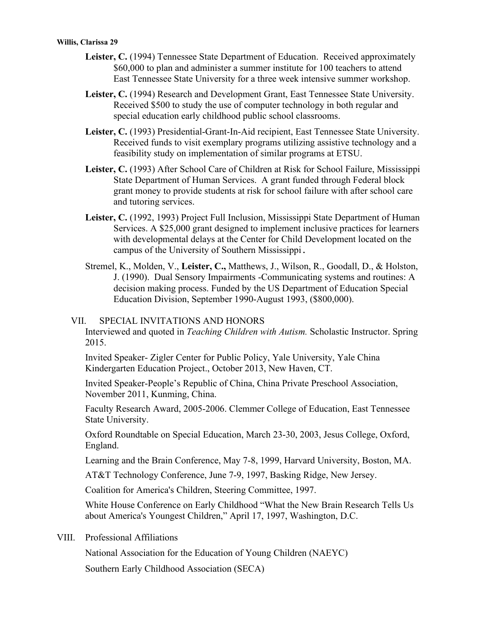- Leister, C. (1994) Tennessee State Department of Education. Received approximately \$60,000 to plan and administer a summer institute for 100 teachers to attend East Tennessee State University for a three week intensive summer workshop.
- Leister, C. (1994) Research and Development Grant, East Tennessee State University. Received \$500 to study the use of computer technology in both regular and special education early childhood public school classrooms.
- **Leister, C.** (1993) Presidential-Grant-In-Aid recipient, East Tennessee State University. Received funds to visit exemplary programs utilizing assistive technology and a feasibility study on implementation of similar programs at ETSU.
- **Leister, C.** (1993) After School Care of Children at Risk for School Failure, Mississippi State Department of Human Services. A grant funded through Federal block grant money to provide students at risk for school failure with after school care and tutoring services.
- **Leister, C.** (1992, 1993) Project Full Inclusion, Mississippi State Department of Human Services. A \$25,000 grant designed to implement inclusive practices for learners with developmental delays at the Center for Child Development located on the campus of the University of Southern Mississippi.
- Stremel, K., Molden, V., **Leister, C.,** Matthews, J., Wilson, R., Goodall, D., & Holston, J. (1990). Dual Sensory Impairments -Communicating systems and routines: A decision making process. Funded by the US Department of Education Special Education Division, September 1990-August 1993, (\$800,000).

#### VII. SPECIAL INVITATIONS AND HONORS

Interviewed and quoted in *Teaching Children with Autism.* Scholastic Instructor. Spring 2015.

Invited Speaker- Zigler Center for Public Policy, Yale University, Yale China Kindergarten Education Project., October 2013, New Haven, CT.

Invited Speaker-People's Republic of China, China Private Preschool Association, November 2011, Kunming, China.

Faculty Research Award, 2005-2006. Clemmer College of Education, East Tennessee State University.

Oxford Roundtable on Special Education, March 23-30, 2003, Jesus College, Oxford, England.

Learning and the Brain Conference, May 7-8, 1999, Harvard University, Boston, MA.

AT&T Technology Conference, June 7-9, 1997, Basking Ridge, New Jersey.

Coalition for America's Children, Steering Committee, 1997.

White House Conference on Early Childhood "What the New Brain Research Tells Us about America's Youngest Children," April 17, 1997, Washington, D.C.

VIII. Professional Affiliations

National Association for the Education of Young Children (NAEYC)

Southern Early Childhood Association (SECA)